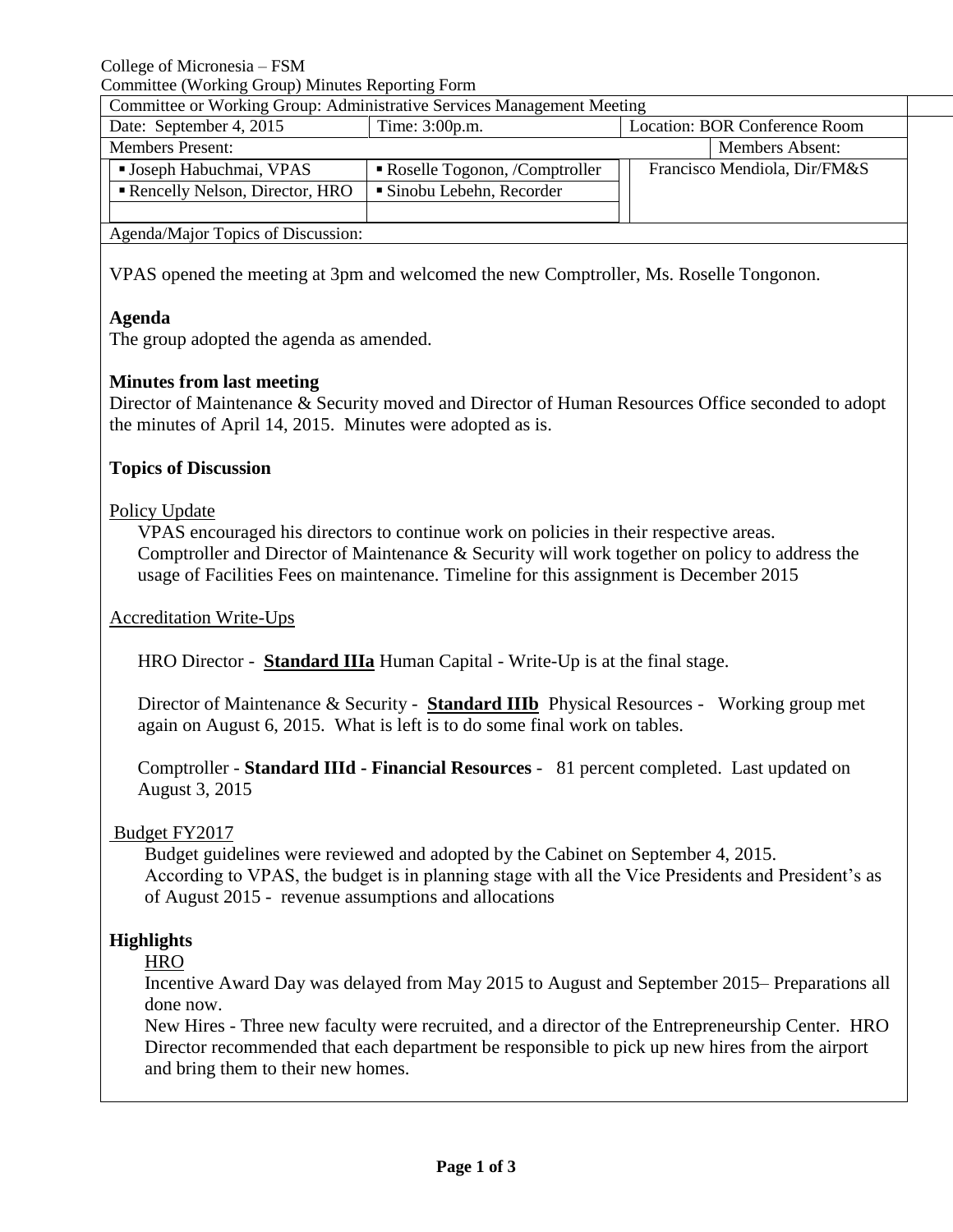College of Micronesia – FSM

Committee (Working Group) Minutes Reporting Form

|                         | Committee or Working Group: Administrative Services Management Meeting |                               |                               |  |                              |  |  |
|-------------------------|------------------------------------------------------------------------|-------------------------------|-------------------------------|--|------------------------------|--|--|
|                         | Date: September 4, 2015                                                | Time: 3:00p.m.                | Location: BOR Conference Room |  |                              |  |  |
| <b>Members Present:</b> |                                                                        |                               |                               |  | <b>Members Absent:</b>       |  |  |
|                         | ■ Joseph Habuchmai, VPAS                                               | Roselle Togonon, /Comptroller |                               |  | Francisco Mendiola, Dir/FM&S |  |  |
|                         | Rencelly Nelson, Director, HRO                                         | Sinobu Lebehn, Recorder       |                               |  |                              |  |  |
|                         |                                                                        |                               |                               |  |                              |  |  |
|                         | Agonda Moior Tonics of Discussion:                                     |                               |                               |  |                              |  |  |

Agenda/Major Topics of Discussion:

VPAS opened the meeting at 3pm and welcomed the new Comptroller, Ms. Roselle Tongonon.

## **Agenda**

The group adopted the agenda as amended.

# **Minutes from last meeting**

Director of Maintenance & Security moved and Director of Human Resources Office seconded to adopt the minutes of April 14, 2015. Minutes were adopted as is.

## **Topics of Discussion**

## Policy Update

VPAS encouraged his directors to continue work on policies in their respective areas. Comptroller and Director of Maintenance & Security will work together on policy to address the usage of Facilities Fees on maintenance. Timeline for this assignment is December 2015

### Accreditation Write-Ups

HRO Director - **Standard IIIa** Human Capital - Write-Up is at the final stage.

Director of Maintenance & Security - **Standard IIIb** Physical Resources - Working group met again on August 6, 2015. What is left is to do some final work on tables.

Comptroller - **Standard IIId - Financial Resources** - 81 percent completed. Last updated on August 3, 2015

# Budget FY2017

Budget guidelines were reviewed and adopted by the Cabinet on September 4, 2015. According to VPAS, the budget is in planning stage with all the Vice Presidents and President's as of August 2015 - revenue assumptions and allocations

# **Highlights**

### **HRO**

Incentive Award Day was delayed from May 2015 to August and September 2015– Preparations all done now.

New Hires - Three new faculty were recruited, and a director of the Entrepreneurship Center. HRO Director recommended that each department be responsible to pick up new hires from the airport and bring them to their new homes.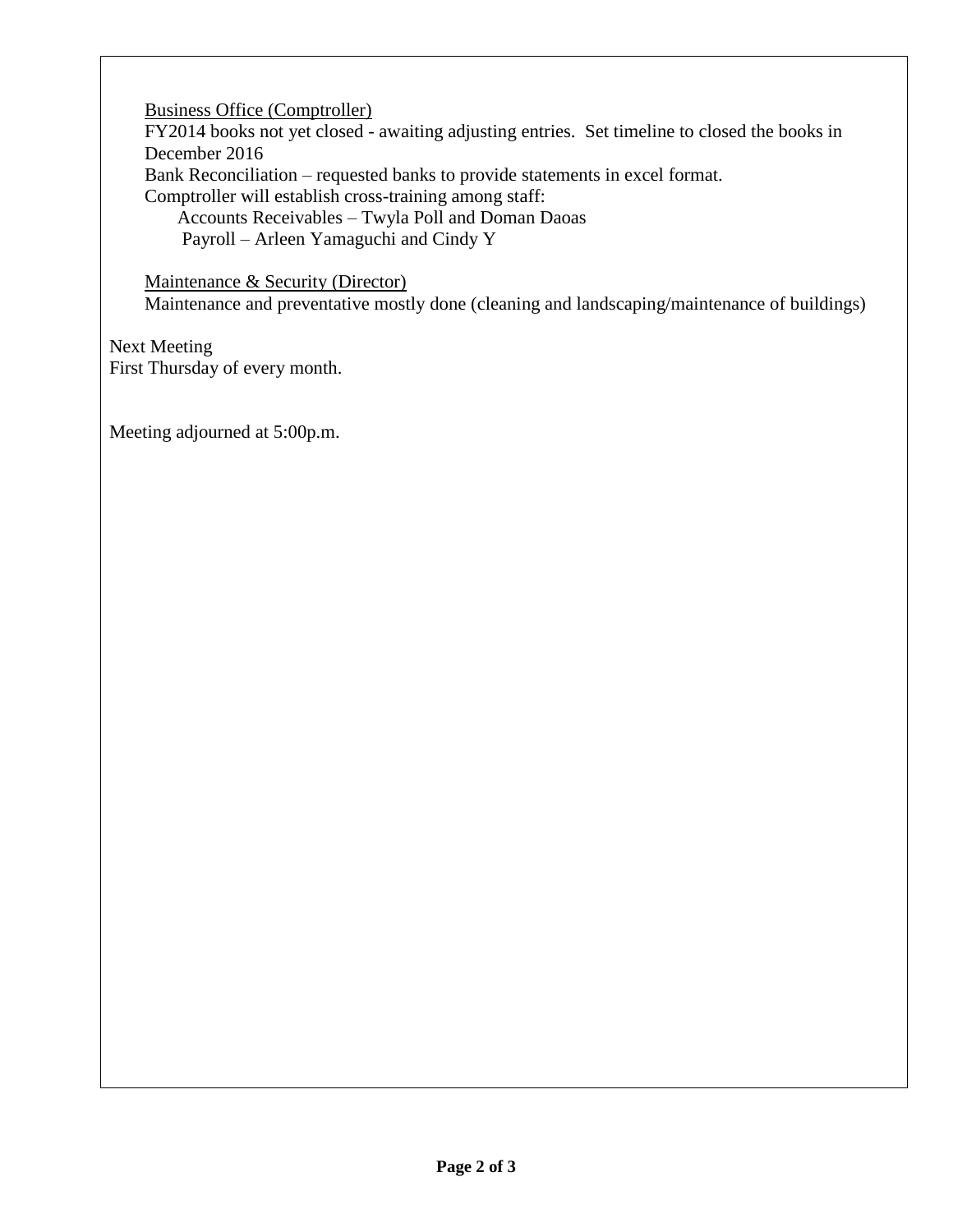Business Office (Comptroller)

FY2014 books not yet closed - awaiting adjusting entries. Set timeline to closed the books in December 2016 Bank Reconciliation – requested banks to provide statements in excel format. Comptroller will establish cross-training among staff: Accounts Receivables – Twyla Poll and Doman Daoas

Payroll – Arleen Yamaguchi and Cindy Y

Maintenance & Security (Director)

Maintenance and preventative mostly done (cleaning and landscaping/maintenance of buildings)

Next Meeting First Thursday of every month.

Meeting adjourned at 5:00p.m.